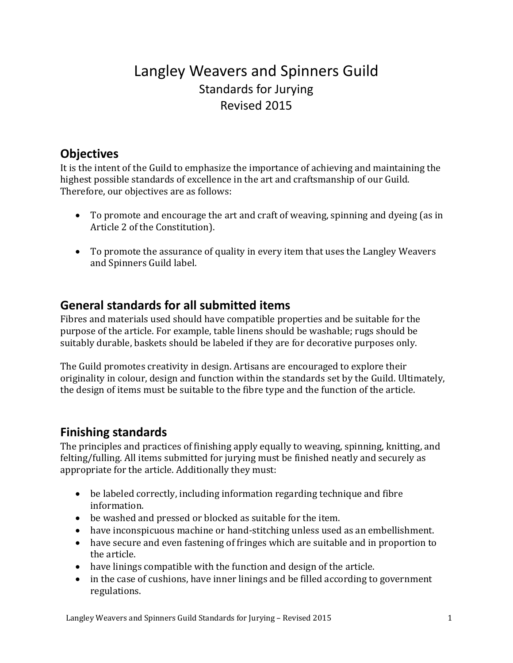# Langley Weavers and Spinners Guild Standards for Jurying Revised 2015

#### **Objectives**

It is the intent of the Guild to emphasize the importance of achieving and maintaining the highest possible standards of excellence in the art and craftsmanship of our Guild. Therefore, our objectives are as follows:

- To promote and encourage the art and craft of weaving, spinning and dyeing (as in Article 2 of the Constitution).
- To promote the assurance of quality in every item that uses the Langley Weavers and Spinners Guild label.

#### **General standards for all submitted items**

Fibres and materials used should have compatible properties and be suitable for the purpose of the article. For example, table linens should be washable; rugs should be suitably durable, baskets should be labeled if they are for decorative purposes only.

The Guild promotes creativity in design. Artisans are encouraged to explore their originality in colour, design and function within the standards set by the Guild. Ultimately, the design of items must be suitable to the fibre type and the function of the article.

#### **Finishing standards**

The principles and practices of finishing apply equally to weaving, spinning, knitting, and felting/fulling. All items submitted for jurying must be finished neatly and securely as appropriate for the article. Additionally they must:

- $\bullet$  be labeled correctly, including information regarding technique and fibre information.
- be washed and pressed or blocked as suitable for the item.
- $\bullet$  have inconspicuous machine or hand-stitching unless used as an embellishment.
- have secure and even fastening of fringes which are suitable and in proportion to the article.
- have linings compatible with the function and design of the article.
- in the case of cushions, have inner linings and be filled according to government regulations.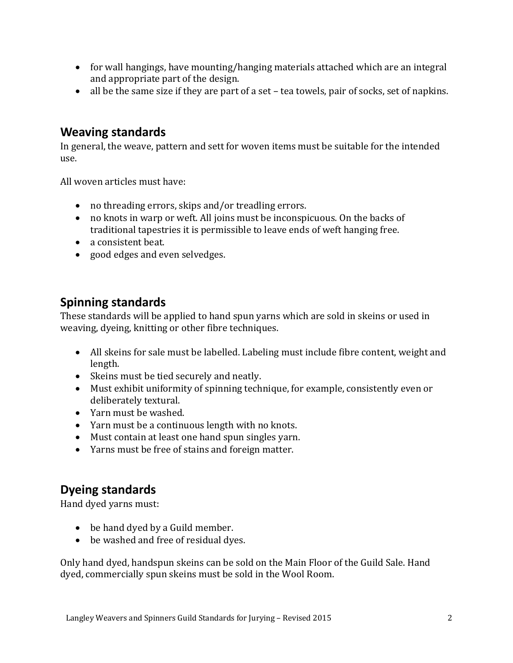- for wall hangings, have mounting/hanging materials attached which are an integral and appropriate part of the design.
- all be the same size if they are part of a set tea towels, pair of socks, set of napkins.

#### **Weaving standards**

In general, the weave, pattern and sett for woven items must be suitable for the intended use. 

All woven articles must have:

- no threading errors, skips and/or treadling errors.
- no knots in warp or weft. All joins must be inconspicuous. On the backs of traditional tapestries it is permissible to leave ends of weft hanging free.
- a consistent beat.
- good edges and even selvedges.

#### **Spinning standards**

These standards will be applied to hand spun yarns which are sold in skeins or used in weaving, dyeing, knitting or other fibre techniques.

- All skeins for sale must be labelled. Labeling must include fibre content, weight and length.
- Skeins must be tied securely and neatly.
- Must exhibit uniformity of spinning technique, for example, consistently even or deliberately textural.
- Yarn must be washed.
- Yarn must be a continuous length with no knots.
- Must contain at least one hand spun singles yarn.
- Yarns must be free of stains and foreign matter.

## **Dyeing standards**

Hand dyed yarns must:

- be hand dyed by a Guild member.
- be washed and free of residual dyes.

Only hand dyed, handspun skeins can be sold on the Main Floor of the Guild Sale. Hand dyed, commercially spun skeins must be sold in the Wool Room.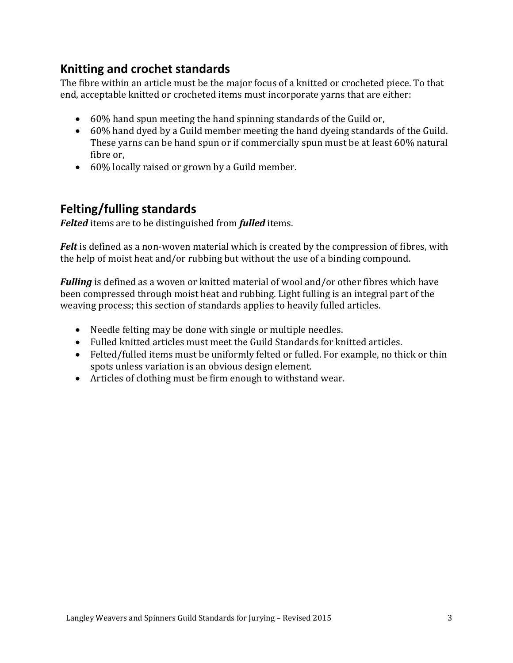### **Knitting and crochet standards**

The fibre within an article must be the major focus of a knitted or crocheted piece. To that end, acceptable knitted or crocheted items must incorporate varns that are either:

- 60% hand spun meeting the hand spinning standards of the Guild or,
- 60% hand dyed by a Guild member meeting the hand dyeing standards of the Guild. These yarns can be hand spun or if commercially spun must be at least 60% natural fibre or,
- 60% locally raised or grown by a Guild member.

### **Felting/fulling standards**

**Felted** items are to be distinguished from **fulled** items.

*Felt* is defined as a non-woven material which is created by the compression of fibres, with the help of moist heat and/or rubbing but without the use of a binding compound.

*Fulling* is defined as a woven or knitted material of wool and/or other fibres which have been compressed through moist heat and rubbing. Light fulling is an integral part of the weaving process; this section of standards applies to heavily fulled articles.

- Needle felting may be done with single or multiple needles.
- Fulled knitted articles must meet the Guild Standards for knitted articles.
- Felted/fulled items must be uniformly felted or fulled. For example, no thick or thin spots unless variation is an obvious design element.
- Articles of clothing must be firm enough to withstand wear.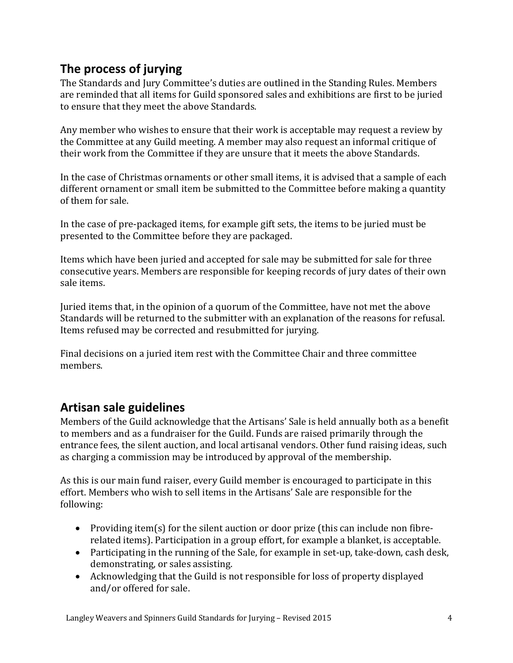# **The process of jurying**

The Standards and Jury Committee's duties are outlined in the Standing Rules. Members are reminded that all items for Guild sponsored sales and exhibitions are first to be juried to ensure that they meet the above Standards.

Any member who wishes to ensure that their work is acceptable may request a review by the Committee at any Guild meeting. A member may also request an informal critique of their work from the Committee if they are unsure that it meets the above Standards.

In the case of Christmas ornaments or other small items, it is advised that a sample of each different ornament or small item be submitted to the Committee before making a quantity of them for sale.

In the case of pre-packaged items, for example gift sets, the items to be juried must be presented to the Committee before they are packaged.

Items which have been juried and accepted for sale may be submitted for sale for three consecutive years. Members are responsible for keeping records of jury dates of their own sale items.

Juried items that, in the opinion of a quorum of the Committee, have not met the above Standards will be returned to the submitter with an explanation of the reasons for refusal. Items refused may be corrected and resubmitted for jurying.

Final decisions on a juried item rest with the Committee Chair and three committee members. 

#### **Artisan sale guidelines**

Members of the Guild acknowledge that the Artisans' Sale is held annually both as a benefit to members and as a fundraiser for the Guild. Funds are raised primarily through the entrance fees, the silent auction, and local artisanal vendors. Other fund raising ideas, such as charging a commission may be introduced by approval of the membership.

As this is our main fund raiser, every Guild member is encouraged to participate in this effort. Members who wish to sell items in the Artisans' Sale are responsible for the following: 

- Providing item(s) for the silent auction or door prize (this can include non fibrerelated items). Participation in a group effort, for example a blanket, is acceptable.
- Participating in the running of the Sale, for example in set-up, take-down, cash desk, demonstrating, or sales assisting.
- Acknowledging that the Guild is not responsible for loss of property displayed and/or offered for sale.